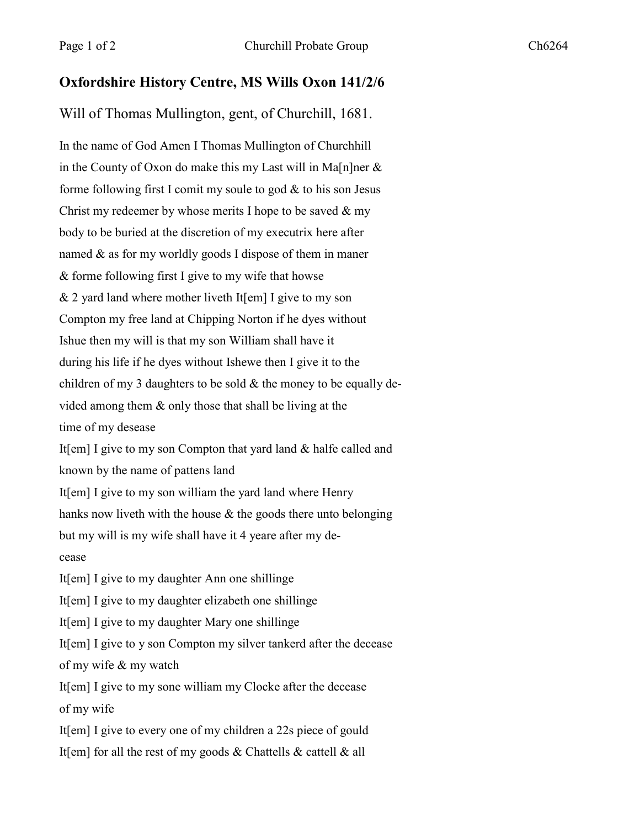## **Oxfordshire History Centre, MS Wills Oxon 141/2/6**

Will of Thomas Mullington, gent, of Churchill, 1681.

In the name of God Amen I Thomas Mullington of Churchhill in the County of Oxon do make this my Last will in Ma[n]ner & forme following first I comit my soule to god & to his son Jesus Christ my redeemer by whose merits I hope to be saved  $\&$  my body to be buried at the discretion of my executrix here after named & as for my worldly goods I dispose of them in maner & forme following first I give to my wife that howse & 2 yard land where mother liveth It[em] I give to my son Compton my free land at Chipping Norton if he dyes without Ishue then my will is that my son William shall have it during his life if he dyes without Ishewe then I give it to the children of my 3 daughters to be sold  $&$  the money to be equally devided among them & only those that shall be living at the time of my desease It[em] I give to my son Compton that yard land & halfe called and known by the name of pattens land It[em] I give to my son william the yard land where Henry hanks now liveth with the house & the goods there unto belonging but my will is my wife shall have it 4 yeare after my decease It[em] I give to my daughter Ann one shillinge It[em] I give to my daughter elizabeth one shillinge It[em] I give to my daughter Mary one shillinge It[em] I give to y son Compton my silver tankerd after the decease of my wife & my watch It[em] I give to my sone william my Clocke after the decease of my wife It[em] I give to every one of my children a 22s piece of gould It[em] for all the rest of my goods  $&$  Chattells  $&$  cattell  $&$  all